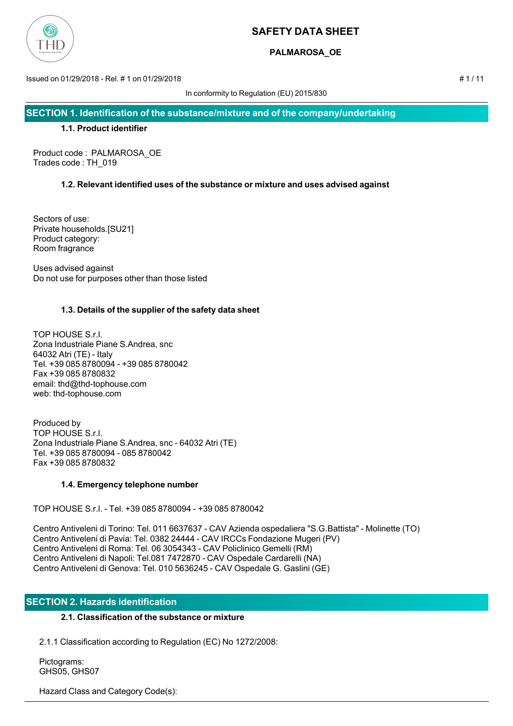

# **PALMAROSA\_OE**

Issued on 01/29/2018 - Rel. # 1 on 01/29/2018 # 1 / 11

In conformity to Regulation (EU) 2015/830

**SECTION 1. Identification of the substance/mixture and of the company/undertaking**

# **1.1. Product identifier**

Product code : PALMAROSA\_OE Trades code : TH\_019

# **1.2. Relevant identified uses of the substance or mixture and uses advised against**

Sectors of use: Private households.[SU21] Product category: Room fragrance

Uses advised against Do not use for purposes other than those listed

# **1.3. Details of the supplier of the safety data sheet**

TOP HOUSE S.r.l. Zona Industriale Piane S.Andrea, snc 64032 Atri (TE) - Italy Tel. +39 085 8780094 - +39 085 8780042 Fax +39 085 8780832 email: thd@thd-tophouse.com web: thd-tophouse.com

Produced by TOP HOUSE S.r.l. Zona Industriale Piane S.Andrea, snc - 64032 Atri (TE) Tel. +39 085 8780094 - 085 8780042 Fax +39 085 8780832

# **1.4. Emergency telephone number**

TOP HOUSE S.r.l. - Tel. +39 085 8780094 - +39 085 8780042

Centro Antiveleni di Torino: Tel. 011 6637637 - CAV Azienda ospedaliera "S.G.Battista" - Molinette (TO) Centro Antiveleni di Pavia: Tel. 0382 24444 - CAV IRCCs Fondazione Mugeri (PV) Centro Antiveleni di Roma: Tel. 06 3054343 - CAV Policlinico Gemelli (RM) Centro Antiveleni di Napoli: Tel.081 7472870 - CAV Ospedale Cardarelli (NA) Centro Antiveleni di Genova: Tel. 010 5636245 - CAV Ospedale G. Gaslini (GE)

# **SECTION 2. Hazards identification**

# **2.1. Classification of the substance or mixture**

2.1.1 Classification according to Regulation (EC) No 1272/2008:

 Pictograms: GHS05, GHS07

Hazard Class and Category Code(s):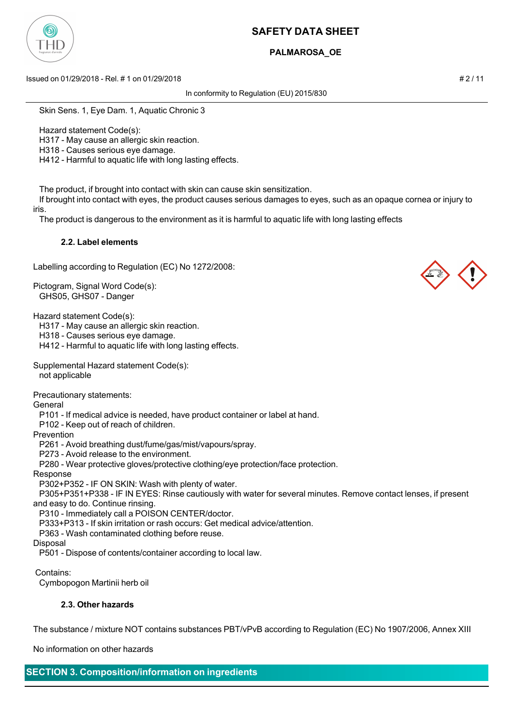

# **PALMAROSA\_OE**

Issued on 01/29/2018 - Rel. # 1 on 01/29/2018 # 2 / 11

In conformity to Regulation (EU) 2015/830

Skin Sens. 1, Eye Dam. 1, Aquatic Chronic 3

Hazard statement Code(s):

H317 - May cause an allergic skin reaction.

H318 - Causes serious eye damage.

H412 - Harmful to aquatic life with long lasting effects.

The product, if brought into contact with skin can cause skin sensitization.

 If brought into contact with eyes, the product causes serious damages to eyes, such as an opaque cornea or injury to iris.

The product is dangerous to the environment as it is harmful to aquatic life with long lasting effects

### **2.2. Label elements**

Labelling according to Regulation (EC) No 1272/2008:

Pictogram, Signal Word Code(s): GHS05, GHS07 - Danger

Hazard statement Code(s):

H317 - May cause an allergic skin reaction.

H318 - Causes serious eye damage.

H412 - Harmful to aquatic life with long lasting effects.

Supplemental Hazard statement Code(s): not applicable

Precautionary statements:

General

P101 - If medical advice is needed, have product container or label at hand.

P102 - Keep out of reach of children.

Prevention

P261 - Avoid breathing dust/fume/gas/mist/vapours/spray.

P273 - Avoid release to the environment.

P280 - Wear protective gloves/protective clothing/eye protection/face protection.

Response

P302+P352 - IF ON SKIN: Wash with plenty of water.

 P305+P351+P338 - IF IN EYES: Rinse cautiously with water for several minutes. Remove contact lenses, if present and easy to do. Continue rinsing.

P310 - Immediately call a POISON CENTER/doctor.

P333+P313 - If skin irritation or rash occurs: Get medical advice/attention.

P363 - Wash contaminated clothing before reuse.

Disposal

P501 - Dispose of contents/container according to local law.

Contains:

Cymbopogon Martinii herb oil

## **2.3. Other hazards**

The substance / mixture NOT contains substances PBT/vPvB according to Regulation (EC) No 1907/2006, Annex XIII

No information on other hazards

**SECTION 3. Composition/information on ingredients**

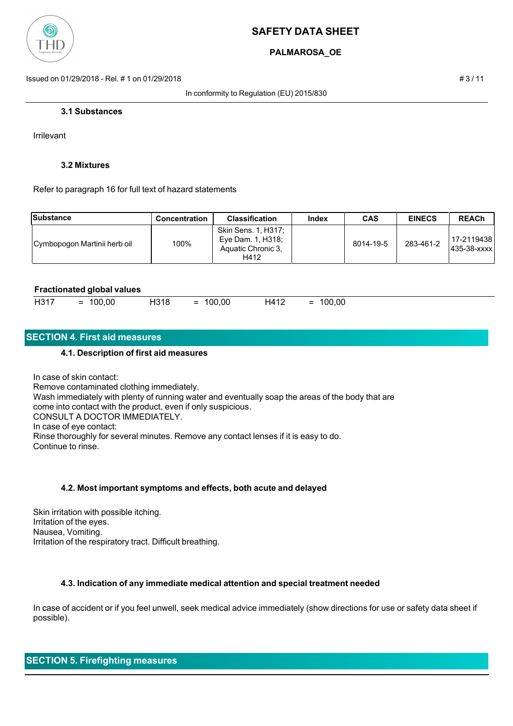

# **PALMAROSA\_OE**

Issued on 01/29/2018 - Rel. # 1 on 01/29/2018 # 3 / 11

In conformity to Regulation (EU) 2015/830

#### **3.1 Substances**

Irrilevant

### **3.2 Mixtures**

Refer to paragraph 16 for full text of hazard statements

| Substance                    | <b>Concentration</b> | <b>Classification</b>                                                  | Index | <b>CAS</b> | <b>EINECS</b> | <b>REACh</b>               |
|------------------------------|----------------------|------------------------------------------------------------------------|-------|------------|---------------|----------------------------|
| Cymbopogon Martinii herb oil | 100%                 | Skin Sens. 1, H317;<br>Eye Dam. 1, H318;<br>Aquatic Chronic 3.<br>H412 |       | 8014-19-5  | 283-461-2     | 17-2119438<br>1435-38-xxxx |

#### **Fractionated global values**

| H317<br>100,00<br>H318<br>100,00<br>100,00<br>H412<br>$=$<br>$=$<br>$=$<br>___ |
|--------------------------------------------------------------------------------|
|--------------------------------------------------------------------------------|

## **SECTION 4. First aid measures**

#### **4.1. Description of first aid measures**

In case of skin contact: Remove contaminated clothing immediately. Wash immediately with plenty of running water and eventually soap the areas of the body that are come into contact with the product, even if only suspicious. CONSULT A DOCTOR IMMEDIATELY. In case of eye contact: Rinse thoroughly for several minutes. Remove any contact lenses if it is easy to do. Continue to rinse.

#### **4.2. Most important symptoms and effects, both acute and delayed**

Skin irritation with possible itching. Irritation of the eyes. Nausea, Vomiting. Irritation of the respiratory tract. Difficult breathing.

#### **4.3. Indication of any immediate medical attention and special treatment needed**

In case of accident or if you feel unwell, seek medical advice immediately (show directions for use or safety data sheet if possible).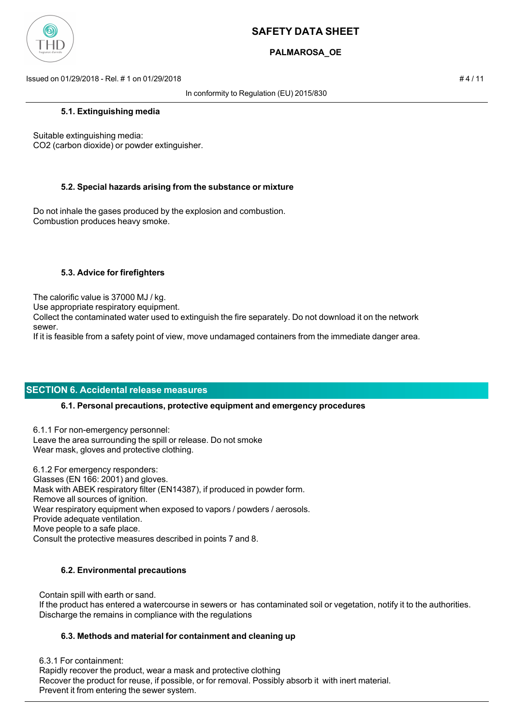

# **PALMAROSA\_OE**

Issued on 01/29/2018 - Rel. # 1 on 01/29/2018 # 4 / 11

In conformity to Regulation (EU) 2015/830

### **5.1. Extinguishing media**

Suitable extinguishing media: CO2 (carbon dioxide) or powder extinguisher.

## **5.2. Special hazards arising from the substance or mixture**

Do not inhale the gases produced by the explosion and combustion. Combustion produces heavy smoke.

## **5.3. Advice for firefighters**

The calorific value is 37000 MJ / kg.

Use appropriate respiratory equipment.

Collect the contaminated water used to extinguish the fire separately. Do not download it on the network sewer.

If it is feasible from a safety point of view, move undamaged containers from the immediate danger area.

# **SECTION 6. Accidental release measures**

## **6.1. Personal precautions, protective equipment and emergency procedures**

6.1.1 For non-emergency personnel: Leave the area surrounding the spill or release. Do not smoke Wear mask, gloves and protective clothing.

6.1.2 For emergency responders: Glasses (EN 166: 2001) and gloves. Mask with ABEK respiratory filter (EN14387), if produced in powder form. Remove all sources of ignition. Wear respiratory equipment when exposed to vapors / powders / aerosols. Provide adequate ventilation. Move people to a safe place. Consult the protective measures described in points 7 and 8.

## **6.2. Environmental precautions**

Contain spill with earth or sand.

 If the product has entered a watercourse in sewers or has contaminated soil or vegetation, notify it to the authorities. Discharge the remains in compliance with the regulations

## **6.3. Methods and material for containment and cleaning up**

 6.3.1 For containment: Rapidly recover the product, wear a mask and protective clothing Recover the product for reuse, if possible, or for removal. Possibly absorb it with inert material. Prevent it from entering the sewer system.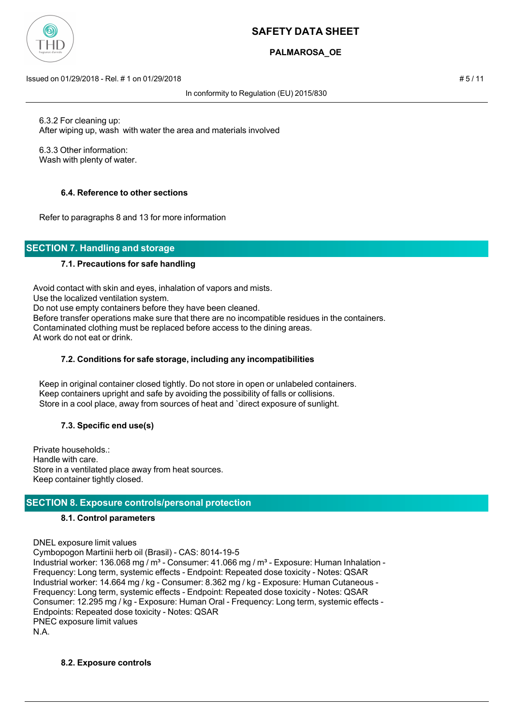

# **PALMAROSA\_OE**

Issued on 01/29/2018 - Rel. # 1 on 01/29/2018 # 5 / 11

In conformity to Regulation (EU) 2015/830

 6.3.2 For cleaning up: After wiping up, wash with water the area and materials involved

 6.3.3 Other information: Wash with plenty of water.

# **6.4. Reference to other sections**

Refer to paragraphs 8 and 13 for more information

# **SECTION 7. Handling and storage**

## **7.1. Precautions for safe handling**

Avoid contact with skin and eyes, inhalation of vapors and mists. Use the localized ventilation system. Do not use empty containers before they have been cleaned. Before transfer operations make sure that there are no incompatible residues in the containers. Contaminated clothing must be replaced before access to the dining areas. At work do not eat or drink.

## **7.2. Conditions for safe storage, including any incompatibilities**

 Keep in original container closed tightly. Do not store in open or unlabeled containers. Keep containers upright and safe by avoiding the possibility of falls or collisions. Store in a cool place, away from sources of heat and `direct exposure of sunlight.

## **7.3. Specific end use(s)**

Private households.: Handle with care. Store in a ventilated place away from heat sources. Keep container tightly closed.

# **SECTION 8. Exposure controls/personal protection**

## **8.1. Control parameters**

DNEL exposure limit values

Cymbopogon Martinii herb oil (Brasil) - CAS: 8014-19-5 Industrial worker: 136.068 mg / m<sup>3</sup> - Consumer: 41.066 mg / m<sup>3</sup> - Exposure: Human Inhalation -Frequency: Long term, systemic effects - Endpoint: Repeated dose toxicity - Notes: QSAR Industrial worker: 14.664 mg / kg - Consumer: 8.362 mg / kg - Exposure: Human Cutaneous - Frequency: Long term, systemic effects - Endpoint: Repeated dose toxicity - Notes: QSAR Consumer: 12.295 mg / kg - Exposure: Human Oral - Frequency: Long term, systemic effects - Endpoints: Repeated dose toxicity - Notes: QSAR PNEC exposure limit values N.A.

## **8.2. Exposure controls**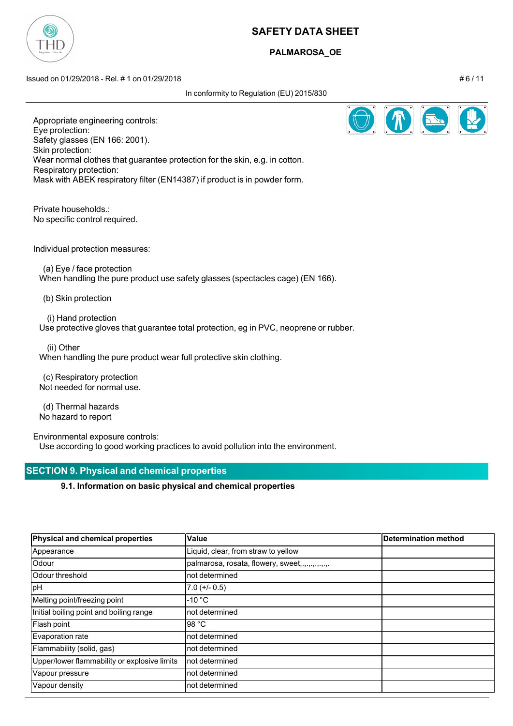

# **PALMAROSA\_OE**

Issued on 01/29/2018 - Rel. # 1 on 01/29/2018 # 6 / 11

In conformity to Regulation (EU) 2015/830



Appropriate engineering controls: Eye protection: Safety glasses (EN 166: 2001). Skin protection: Wear normal clothes that guarantee protection for the skin, e.g. in cotton. Respiratory protection: Mask with ABEK respiratory filter (EN14387) if product is in powder form.

Private households.: No specific control required.

Individual protection measures:

 (a) Eye / face protection When handling the pure product use safety glasses (spectacles cage) (EN 166).

(b) Skin protection

(i) Hand protection

Use protective gloves that guarantee total protection, eg in PVC, neoprene or rubber.

(ii) Other

When handling the pure product wear full protective skin clothing.

 (c) Respiratory protection Not needed for normal use.

 (d) Thermal hazards No hazard to report

Environmental exposure controls: Use according to good working practices to avoid pollution into the environment.

# **SECTION 9. Physical and chemical properties**

## **9.1. Information on basic physical and chemical properties**

| Physical and chemical properties             | <b>Value</b>                        | <b>Determination method</b> |
|----------------------------------------------|-------------------------------------|-----------------------------|
| Appearance                                   | Liquid, clear, from straw to yellow |                             |
| Odour                                        | palmarosa, rosata, flowery, sweet,  |                             |
| <b>Odour threshold</b>                       | not determined                      |                             |
| pH                                           | $7.0 (+/- 0.5)$                     |                             |
| Melting point/freezing point                 | $-10 °C$                            |                             |
| Initial boiling point and boiling range      | not determined                      |                             |
| Flash point                                  | 98 °C                               |                             |
| Evaporation rate                             | not determined                      |                             |
| Flammability (solid, gas)                    | not determined                      |                             |
| Upper/lower flammability or explosive limits | not determined                      |                             |
| Vapour pressure                              | not determined                      |                             |
| Vapour density                               | not determined                      |                             |

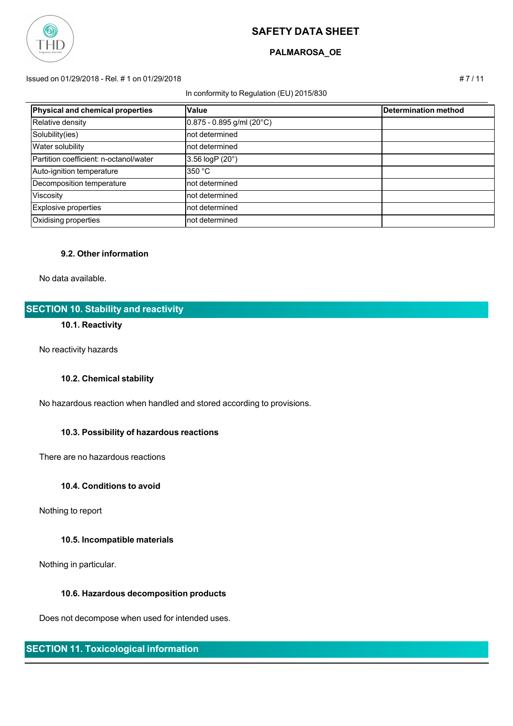

## **PALMAROSA\_OE**

#### Issued on 01/29/2018 - Rel. # 1 on 01/29/2018 # 7 / 11

#### In conformity to Regulation (EU) 2015/830

| Physical and chemical properties       | <b>Value</b>                | Determination method |
|----------------------------------------|-----------------------------|----------------------|
| Relative density                       | $0.875 - 0.895$ g/ml (20°C) |                      |
| Solubility(ies)                        | Inot determined             |                      |
| Water solubility                       | Inot determined             |                      |
| Partition coefficient: n-octanol/water | 3.56 $logP(20^{\circ})$     |                      |
| Auto-ignition temperature              | 350 °C                      |                      |
| Decomposition temperature              | Inot determined             |                      |
| Viscosity                              | Inot determined             |                      |
| Explosive properties                   | Inot determined             |                      |
| Oxidising properties                   | Inot determined             |                      |

#### **9.2. Other information**

No data available.

# **SECTION 10. Stability and reactivity**

# **10.1. Reactivity**

No reactivity hazards

### **10.2. Chemical stability**

No hazardous reaction when handled and stored according to provisions.

#### **10.3. Possibility of hazardous reactions**

There are no hazardous reactions

## **10.4. Conditions to avoid**

Nothing to report

## **10.5. Incompatible materials**

Nothing in particular.

### **10.6. Hazardous decomposition products**

Does not decompose when used for intended uses.

# **SECTION 11. Toxicological information**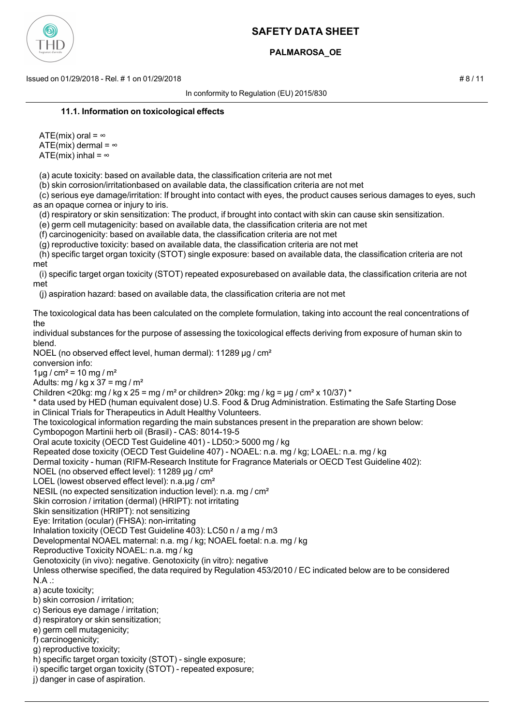

# **PALMAROSA\_OE**

Issued on 01/29/2018 - Rel. # 1 on 01/29/2018 # 8 / 11

In conformity to Regulation (EU) 2015/830

#### **11.1. Information on toxicological effects**

ATE(mix) oral =  $\infty$ ATE(mix) dermal =  $\infty$ ATE(mix) inhal =  $\infty$ 

(a) acute toxicity: based on available data, the classification criteria are not met

(b) skin corrosion/irritationbased on available data, the classification criteria are not met

 (c) serious eye damage/irritation: If brought into contact with eyes, the product causes serious damages to eyes, such as an opaque cornea or injury to iris.

(d) respiratory or skin sensitization: The product, if brought into contact with skin can cause skin sensitization.

(e) germ cell mutagenicity: based on available data, the classification criteria are not met

(f) carcinogenicity: based on available data, the classification criteria are not met

(g) reproductive toxicity: based on available data, the classification criteria are not met

 (h) specific target organ toxicity (STOT) single exposure: based on available data, the classification criteria are not met

 (i) specific target organ toxicity (STOT) repeated exposurebased on available data, the classification criteria are not met

(j) aspiration hazard: based on available data, the classification criteria are not met

The toxicological data has been calculated on the complete formulation, taking into account the real concentrations of the

individual substances for the purpose of assessing the toxicological effects deriving from exposure of human skin to blend.

NOEL (no observed effect level, human dermal): 11289 μg / cm²

conversion info:

 $1 \mu$ g / cm<sup>2</sup> = 10 mg / m<sup>2</sup>

Adults: mg / kg x 37 = mg /  $m<sup>2</sup>$ 

Children <20kg: mg / kg x 25 = mg / m<sup>2</sup> or children> 20kg: mg / kg =  $\mu$ g / cm<sup>2</sup> x 10/37) \*

\* data used by HED (human equivalent dose) U.S. Food & Drug Administration. Estimating the Safe Starting Dose in Clinical Trials for Therapeutics in Adult Healthy Volunteers.

The toxicological information regarding the main substances present in the preparation are shown below:

Cymbopogon Martinii herb oil (Brasil) - CAS: 8014-19-5

Oral acute toxicity (OECD Test Guideline 401) - LD50:> 5000 mg / kg

Repeated dose toxicity (OECD Test Guideline 407) - NOAEL: n.a. mg / kg; LOAEL: n.a. mg / kg

Dermal toxicity - human (RIFM-Research Institute for Fragrance Materials or OECD Test Guideline 402):

NOEL (no observed effect level): 11289 μg / cm²

LOEL (lowest observed effect level): n.a.μg / cm²

NESIL (no expected sensitization induction level): n.a. mg / cm²

Skin corrosion / irritation (dermal) (HRIPT): not irritating

Skin sensitization (HRIPT): not sensitizing

Eye: Irritation (ocular) (FHSA): non-irritating

Inhalation toxicity (OECD Test Guideline 403): LC50 n / a mg / m3

Developmental NOAEL maternal: n.a. mg / kg; NOAEL foetal: n.a. mg / kg

Reproductive Toxicity NOAEL: n.a. mg / kg

Genotoxicity (in vivo): negative. Genotoxicity (in vitro): negative

Unless otherwise specified, the data required by Regulation 453/2010 / EC indicated below are to be considered N.A .:

a) acute toxicity;

b) skin corrosion / irritation;

c) Serious eye damage / irritation;

d) respiratory or skin sensitization;

e) germ cell mutagenicity;

f) carcinogenicity;

g) reproductive toxicity;

h) specific target organ toxicity (STOT) - single exposure;

i) specific target organ toxicity (STOT) - repeated exposure;

j) danger in case of aspiration.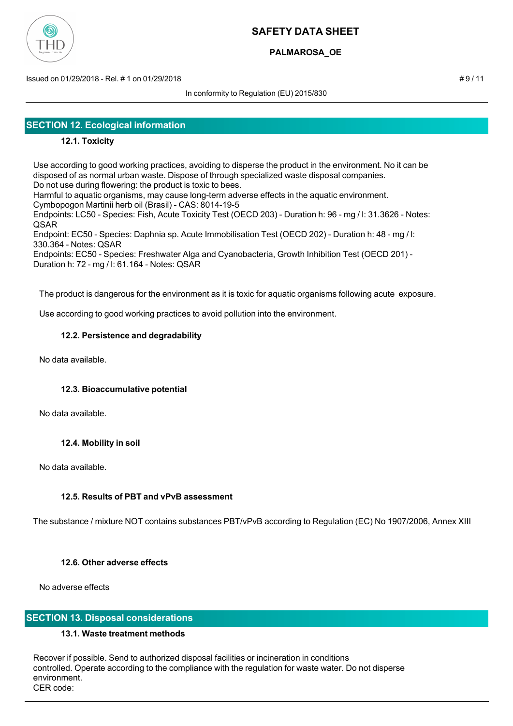

# **PALMAROSA\_OE**

Issued on 01/29/2018 - Rel. # 1 on 01/29/2018 # 9 / 11

In conformity to Regulation (EU) 2015/830

# **SECTION 12. Ecological information**

# **12.1. Toxicity**

Use according to good working practices, avoiding to disperse the product in the environment. No it can be disposed of as normal urban waste. Dispose of through specialized waste disposal companies. Do not use during flowering: the product is toxic to bees.

Harmful to aquatic organisms, may cause long-term adverse effects in the aquatic environment. Cymbopogon Martinii herb oil (Brasil) - CAS: 8014-19-5

Endpoints: LC50 - Species: Fish, Acute Toxicity Test (OECD 203) - Duration h: 96 - mg / l: 31.3626 - Notes: QSAR

Endpoint: EC50 - Species: Daphnia sp. Acute Immobilisation Test (OECD 202) - Duration h: 48 - mg / l: 330.364 - Notes: QSAR

Endpoints: EC50 - Species: Freshwater Alga and Cyanobacteria, Growth Inhibition Test (OECD 201) - Duration h: 72 - mg / l: 61.164 - Notes: QSAR

The product is dangerous for the environment as it is toxic for aquatic organisms following acute exposure.

Use according to good working practices to avoid pollution into the environment.

## **12.2. Persistence and degradability**

No data available.

## **12.3. Bioaccumulative potential**

No data available.

## **12.4. Mobility in soil**

No data available.

## **12.5. Results of PBT and vPvB assessment**

The substance / mixture NOT contains substances PBT/vPvB according to Regulation (EC) No 1907/2006, Annex XIII

## **12.6. Other adverse effects**

No adverse effects

## **SECTION 13. Disposal considerations**

## **13.1. Waste treatment methods**

Recover if possible. Send to authorized disposal facilities or incineration in conditions controlled. Operate according to the compliance with the regulation for waste water. Do not disperse environment. CER code: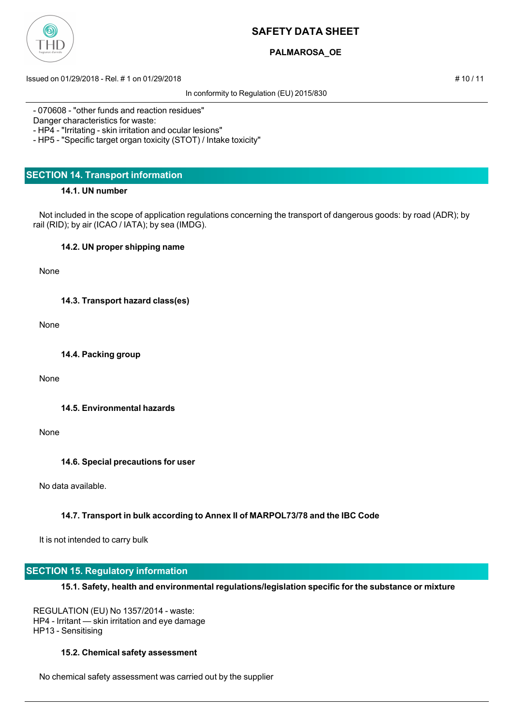

# **PALMAROSA\_OE**

Issued on 01/29/2018 - Rel. # 1 on 01/29/2018 # 10 / 11

In conformity to Regulation (EU) 2015/830

- 070608 - "other funds and reaction residues"

Danger characteristics for waste:

- HP4 - "Irritating - skin irritation and ocular lesions"

- HP5 - "Specific target organ toxicity (STOT) / Intake toxicity"

# **SECTION 14. Transport information**

## **14.1. UN number**

 Not included in the scope of application regulations concerning the transport of dangerous goods: by road (ADR); by rail (RID); by air (ICAO / IATA); by sea (IMDG).

## **14.2. UN proper shipping name**

None

**14.3. Transport hazard class(es)**

None

**14.4. Packing group**

None

**14.5. Environmental hazards**

#### None

## **14.6. Special precautions for user**

No data available.

## **14.7. Transport in bulk according to Annex II of MARPOL73/78 and the IBC Code**

It is not intended to carry bulk

# **SECTION 15. Regulatory information**

## **15.1. Safety, health and environmental regulations/legislation specific for the substance or mixture**

REGULATION (EU) No 1357/2014 - waste: HP4 - Irritant — skin irritation and eye damage HP13 - Sensitising

## **15.2. Chemical safety assessment**

No chemical safety assessment was carried out by the supplier